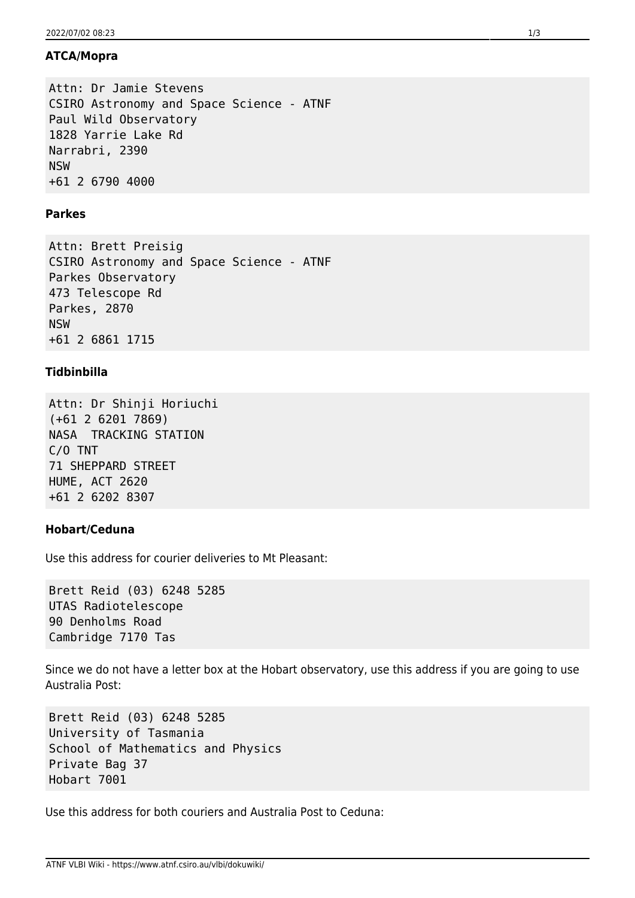## **ATCA/Mopra**

Attn: Dr Jamie Stevens CSIRO Astronomy and Space Science - ATNF Paul Wild Observatory 1828 Yarrie Lake Rd Narrabri, 2390 NSW +61 2 6790 4000

## **Parkes**

Attn: Brett Preisig CSIRO Astronomy and Space Science - ATNF Parkes Observatory 473 Telescope Rd Parkes, 2870 NSW +61 2 6861 1715

# **Tidbinbilla**

Attn: Dr Shinji Horiuchi (+61 2 6201 7869) NASA TRACKING STATION C/O TNT 71 SHEPPARD STREET HUME, ACT 2620 +61 2 6202 8307

## **Hobart/Ceduna**

Use this address for courier deliveries to Mt Pleasant:

Brett Reid (03) 6248 5285 UTAS Radiotelescope 90 Denholms Road Cambridge 7170 Tas

Since we do not have a letter box at the Hobart observatory, use this address if you are going to use Australia Post:

Brett Reid (03) 6248 5285 University of Tasmania School of Mathematics and Physics Private Bag 37 Hobart 7001

Use this address for both couriers and Australia Post to Ceduna: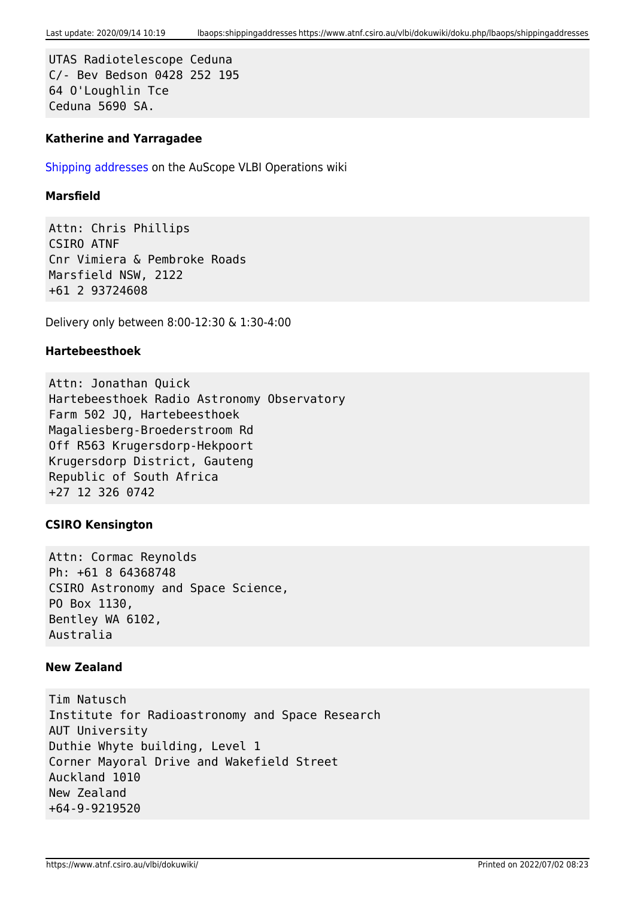UTAS Radiotelescope Ceduna C/- Bev Bedson 0428 252 195 64 O'Loughlin Tce Ceduna 5690 SA.

### **Katherine and Yarragadee**

[Shipping addresses](http://www-ra.phys.utas.edu.au/auscope/opswiki/doku.php?id=operations:contact) on the AuScope VLBI Operations wiki

### **Marsfield**

Attn: Chris Phillips CSIRO ATNF Cnr Vimiera & Pembroke Roads Marsfield NSW, 2122 +61 2 93724608

Delivery only between 8:00-12:30 & 1:30-4:00

### **Hartebeesthoek**

Attn: Jonathan Quick Hartebeesthoek Radio Astronomy Observatory Farm 502 JQ, Hartebeesthoek Magaliesberg-Broederstroom Rd Off R563 Krugersdorp-Hekpoort Krugersdorp District, Gauteng Republic of South Africa +27 12 326 0742

## **CSIRO Kensington**

Attn: Cormac Reynolds Ph: +61 8 64368748 CSIRO Astronomy and Space Science, PO Box 1130, Bentley WA 6102, Australia

#### **New Zealand**

Tim Natusch Institute for Radioastronomy and Space Research AUT University Duthie Whyte building, Level 1 Corner Mayoral Drive and Wakefield Street Auckland 1010 New Zealand +64-9-9219520